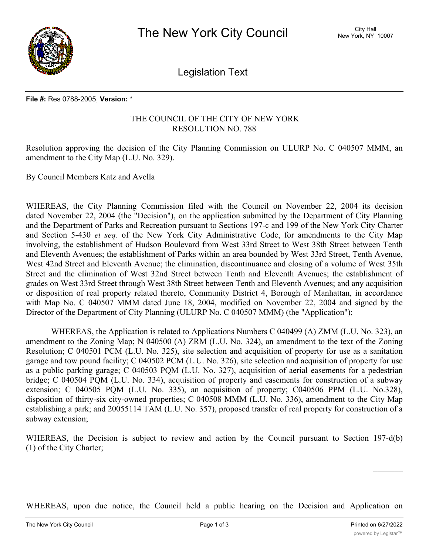

Legislation Text

## **File #:** Res 0788-2005, **Version:** \*

## THE COUNCIL OF THE CITY OF NEW YORK RESOLUTION NO. 788

Resolution approving the decision of the City Planning Commission on ULURP No. C 040507 MMM, an amendment to the City Map (L.U. No. 329).

By Council Members Katz and Avella

WHEREAS, the City Planning Commission filed with the Council on November 22, 2004 its decision dated November 22, 2004 (the "Decision"), on the application submitted by the Department of City Planning and the Department of Parks and Recreation pursuant to Sections 197-c and 199 of the New York City Charter and Section 5-430 *et seq*. of the New York City Administrative Code, for amendments to the City Map involving, the establishment of Hudson Boulevard from West 33rd Street to West 38th Street between Tenth and Eleventh Avenues; the establishment of Parks within an area bounded by West 33rd Street, Tenth Avenue, West 42nd Street and Eleventh Avenue; the elimination, discontinuance and closing of a volume of West 35th Street and the elimination of West 32nd Street between Tenth and Eleventh Avenues; the establishment of grades on West 33rd Street through West 38th Street between Tenth and Eleventh Avenues; and any acquisition or disposition of real property related thereto, Community District 4, Borough of Manhattan, in accordance with Map No. C 040507 MMM dated June 18, 2004, modified on November 22, 2004 and signed by the Director of the Department of City Planning (ULURP No. C 040507 MMM) (the "Application");

WHEREAS, the Application is related to Applications Numbers C 040499 (A) ZMM (L.U. No. 323), an amendment to the Zoning Map; N 040500 (A) ZRM (L.U. No. 324), an amendment to the text of the Zoning Resolution; C 040501 PCM (L.U. No. 325), site selection and acquisition of property for use as a sanitation garage and tow pound facility; C 040502 PCM (L.U. No. 326), site selection and acquisition of property for use as a public parking garage; C 040503 PQM (L.U. No. 327), acquisition of aerial easements for a pedestrian bridge; C 040504 PQM (L.U. No. 334), acquisition of property and easements for construction of a subway extension; C 040505 PQM (L.U. No. 335), an acquisition of property; C040506 PPM (L.U. No.328), disposition of thirty-six city-owned properties; C 040508 MMM (L.U. No. 336), amendment to the City Map establishing a park; and 20055114 TAM (L.U. No. 357), proposed transfer of real property for construction of a subway extension;

WHEREAS, the Decision is subject to review and action by the Council pursuant to Section 197-d(b) (1) of the City Charter;

WHEREAS, upon due notice, the Council held a public hearing on the Decision and Application on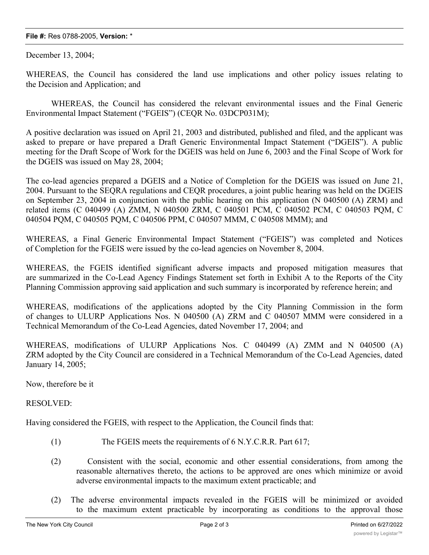## **File #:** Res 0788-2005, **Version:** \*

December 13, 2004;

WHEREAS, the Council has considered the land use implications and other policy issues relating to the Decision and Application; and

WHEREAS, the Council has considered the relevant environmental issues and the Final Generic Environmental Impact Statement ("FGEIS") (CEQR No. 03DCP031M);

A positive declaration was issued on April 21, 2003 and distributed, published and filed, and the applicant was asked to prepare or have prepared a Draft Generic Environmental Impact Statement ("DGEIS"). A public meeting for the Draft Scope of Work for the DGEIS was held on June 6, 2003 and the Final Scope of Work for the DGEIS was issued on May 28, 2004;

The co-lead agencies prepared a DGEIS and a Notice of Completion for the DGEIS was issued on June 21, 2004. Pursuant to the SEQRA regulations and CEQR procedures, a joint public hearing was held on the DGEIS on September 23, 2004 in conjunction with the public hearing on this application (N 040500 (A) ZRM) and related items (C 040499 (A) ZMM, N 040500 ZRM, C 040501 PCM, C 040502 PCM, C 040503 PQM, C 040504 PQM, C 040505 PQM, C 040506 PPM, C 040507 MMM, C 040508 MMM); and

WHEREAS, a Final Generic Environmental Impact Statement ("FGEIS") was completed and Notices of Completion for the FGEIS were issued by the co-lead agencies on November 8, 2004.

WHEREAS, the FGEIS identified significant adverse impacts and proposed mitigation measures that are summarized in the Co-Lead Agency Findings Statement set forth in Exhibit A to the Reports of the City Planning Commission approving said application and such summary is incorporated by reference herein; and

WHEREAS, modifications of the applications adopted by the City Planning Commission in the form of changes to ULURP Applications Nos. N 040500 (A) ZRM and C 040507 MMM were considered in a Technical Memorandum of the Co-Lead Agencies, dated November 17, 2004; and

WHEREAS, modifications of ULURP Applications Nos. C 040499 (A) ZMM and N 040500 (A) ZRM adopted by the City Council are considered in a Technical Memorandum of the Co-Lead Agencies, dated January 14, 2005;

Now, therefore be it

RESOLVED:

Having considered the FGEIS, with respect to the Application, the Council finds that:

- (1) The FGEIS meets the requirements of 6 N.Y.C.R.R. Part 617;
- (2) Consistent with the social, economic and other essential considerations, from among the reasonable alternatives thereto, the actions to be approved are ones which minimize or avoid adverse environmental impacts to the maximum extent practicable; and
- (2) The adverse environmental impacts revealed in the FGEIS will be minimized or avoided to the maximum extent practicable by incorporating as conditions to the approval those